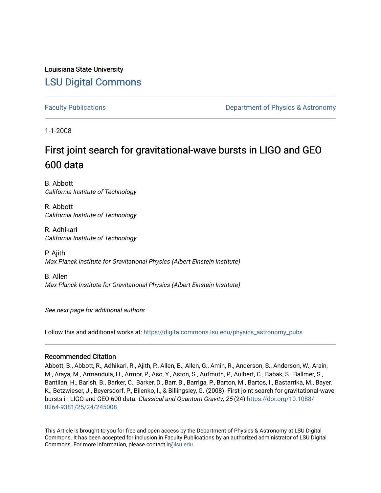# Louisiana State University [LSU Digital Commons](https://digitalcommons.lsu.edu/)

[Faculty Publications](https://digitalcommons.lsu.edu/physics_astronomy_pubs) **Example 2** Constant Department of Physics & Astronomy

1-1-2008

# First joint search for gravitational-wave bursts in LIGO and GEO 600 data

B. Abbott California Institute of Technology

R. Abbott California Institute of Technology

R. Adhikari California Institute of Technology

P. Ajith Max Planck Institute for Gravitational Physics (Albert Einstein Institute)

B. Allen Max Planck Institute for Gravitational Physics (Albert Einstein Institute)

See next page for additional authors

Follow this and additional works at: [https://digitalcommons.lsu.edu/physics\\_astronomy\\_pubs](https://digitalcommons.lsu.edu/physics_astronomy_pubs?utm_source=digitalcommons.lsu.edu%2Fphysics_astronomy_pubs%2F1196&utm_medium=PDF&utm_campaign=PDFCoverPages) 

# Recommended Citation

Abbott, B., Abbott, R., Adhikari, R., Ajith, P., Allen, B., Allen, G., Amin, R., Anderson, S., Anderson, W., Arain, M., Araya, M., Armandula, H., Armor, P., Aso, Y., Aston, S., Aufmuth, P., Aulbert, C., Babak, S., Ballmer, S., Bantilan, H., Barish, B., Barker, C., Barker, D., Barr, B., Barriga, P., Barton, M., Bartos, I., Bastarrika, M., Bayer, K., Betzwieser, J., Beyersdorf, P., Bilenko, I., & Billingsley, G. (2008). First joint search for gravitational-wave bursts in LIGO and GEO 600 data. Classical and Quantum Gravity, 25 (24) [https://doi.org/10.1088/](https://doi.org/10.1088/0264-9381/25/24/245008) [0264-9381/25/24/245008](https://doi.org/10.1088/0264-9381/25/24/245008)

This Article is brought to you for free and open access by the Department of Physics & Astronomy at LSU Digital Commons. It has been accepted for inclusion in Faculty Publications by an authorized administrator of LSU Digital Commons. For more information, please contact [ir@lsu.edu](mailto:ir@lsu.edu).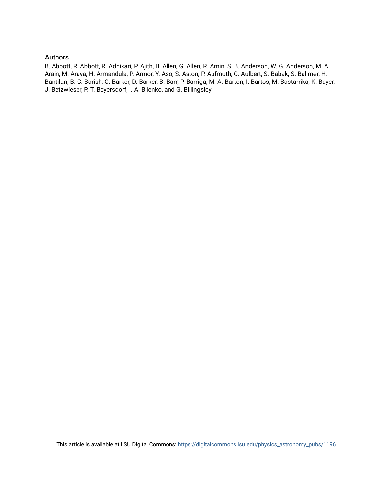## Authors

B. Abbott, R. Abbott, R. Adhikari, P. Ajith, B. Allen, G. Allen, R. Amin, S. B. Anderson, W. G. Anderson, M. A. Arain, M. Araya, H. Armandula, P. Armor, Y. Aso, S. Aston, P. Aufmuth, C. Aulbert, S. Babak, S. Ballmer, H. Bantilan, B. C. Barish, C. Barker, D. Barker, B. Barr, P. Barriga, M. A. Barton, I. Bartos, M. Bastarrika, K. Bayer, J. Betzwieser, P. T. Beyersdorf, I. A. Bilenko, and G. Billingsley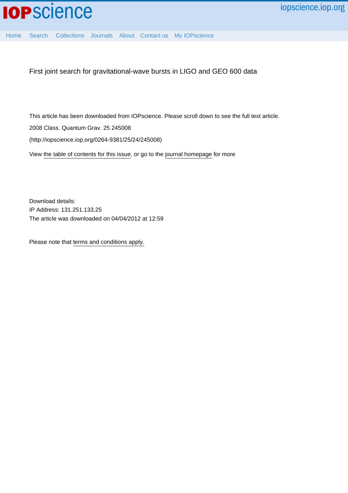

[Home](http://iopscience.iop.org/) [Search](http://iopscience.iop.org/search) [Collections](http://iopscience.iop.org/collections) [Journals](http://iopscience.iop.org/journals) [About](http://iopscience.iop.org/page/aboutioppublishing) [Contact us](http://iopscience.iop.org/contact) [My IOPscience](http://iopscience.iop.org/myiopscience)

First joint search for gravitational-wave bursts in LIGO and GEO 600 data

This article has been downloaded from IOPscience. Please scroll down to see the full text article. 2008 Class. Quantum Grav. 25 245008 (http://iopscience.iop.org/0264-9381/25/24/245008) View [the table of contents for this issue](http://iopscience.iop.org/0264-9381/25/24), or go to the [journal homepage](http://iopscience.iop.org/0264-9381) for more

Download details: IP Address: 131.251.133.25 The article was downloaded on 04/04/2012 at 12:59

Please note that [terms and conditions apply.](http://iopscience.iop.org/page/terms)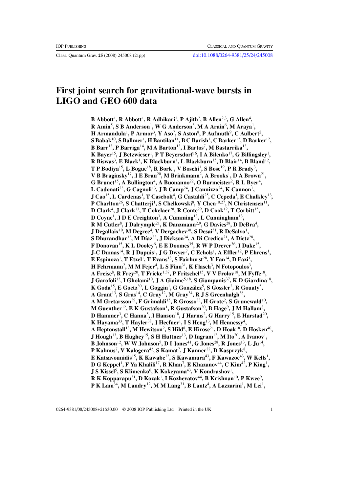# **First joint search for gravitational-wave bursts in LIGO and GEO 600 data**

 $\mathbf B$  Abbott<sup>1</sup>, **R** Abbott<sup>1</sup>, **R** Adhikari<sup>1</sup>, **P** Ajith<sup>2</sup>, **B** Allen<sup>2,3</sup>, G Allen<sup>4</sup>, **R Amin**<sup>5</sup> **, S B Anderson**<sup>1</sup> **, W G Anderson**<sup>3</sup> **, M A Arain**<sup>6</sup> **, M Araya**<sup>1</sup> **, H** Armandula<sup>1</sup>, P Armor<sup>3</sup>, Y Aso<sup>7</sup>, S Aston<sup>8</sup>, P Aufmuth<sup>9</sup>, C Aulbert<sup>2</sup>,  ${\bf S}$  Babak $^{10}$ ,  ${\bf S}$  Ballmer $^1$ ,  ${\bf H}$  Bantilan $^{11}$ ,  ${\bf B}$  C Barish $^1$ ,  ${\bf C}$  Barker $^{12}$ ,  ${\bf D}$  Barker $^{12}$ , **B Barr**13**, P Barriga**14**, M A Barton**13**, I Bartos**<sup>7</sup> **, M Bastarrika**13**, K Bayer**15**, J Betzwieser**<sup>1</sup> **, P T Beyersdorf**16**, I A Bilenko**17**, G Billingsley**<sup>1</sup> **, R Biswas**<sup>3</sup> **, E Black**<sup>1</sup> **, K Blackburn**<sup>1</sup> **, L Blackburn**15**, D Blair**14**, B Bland**12**, T P Bodiya**15**, L Bogue**18**, R Bork**<sup>1</sup> **, V Boschi**<sup>1</sup> **, S Bose**19**, P R Brady**<sup>3</sup> **, V B Braginsky**17**, J E Brau**20**, M Brinkmann**<sup>2</sup> **, A Brooks**<sup>1</sup> **, D A Brown**21**, G Brunet**15**, A Bullington**<sup>4</sup> **, A Buonanno**22**, O Burmeister**<sup>2</sup> **, R L Byer**<sup>4</sup> **, L Cadonati**23**, G Cagnoli**13**, J B Camp**24**, J Cannizzo**24**, K Cannon**<sup>1</sup> **, J Cao**<sup>15</sup>**, L Cardenas**<sup>1</sup> **, T Casebolt**<sup>4</sup> **, G Castaldi**<sup>25</sup>**, C Cepeda**<sup>1</sup> **, E Chalkley**<sup>13</sup>**, P Charlton**<sup>26</sup>**, S Chatterji**<sup>1</sup> **, S Chelkowski**<sup>8</sup> **, Y Chen**10,27**, N Christensen**<sup>11</sup>**, D Clark**<sup>4</sup> **, J Clark**<sup>13</sup>**, T Cokelaer**<sup>28</sup>**, R Conte**<sup>29</sup>**, D Cook**<sup>12</sup>**, T Corbitt**<sup>15</sup>**, D Coyne**<sup>1</sup> **, J D E Creighton**<sup>3</sup> **, A Cumming**<sup>13</sup>**, L Cunningham**<sup>13</sup>**, R M Cutler**<sup>8</sup> **, J Dalrymple**<sup>21</sup>**, K Danzmann**2,9**, G Davies**<sup>28</sup>**, D DeBra**<sup>4</sup> **, J Degallaix**<sup>10</sup>**, M Degree**<sup>4</sup> **, V Dergachev**<sup>30</sup>**, S Desai**<sup>31</sup>**, R DeSalvo**<sup>1</sup> **, S Dhurandhar**<sup>32</sup>**,MD´ıaz**<sup>33</sup>**, J Dickson**<sup>34</sup>**, A Di Credico**<sup>21</sup>**, A Dietz**<sup>28</sup>**, F Donovan**<sup>15</sup>**, K L Dooley**<sup>6</sup> **, E E Doomes**<sup>35</sup>**, R W P Drever**<sup>36</sup>**, I Duke**<sup>15</sup>**, J-C Dumas**<sup>14</sup>**, R J Dupuis**<sup>1</sup> **, J G Dwyer**<sup>7</sup> **, C Echols**<sup>1</sup> **, A Effler**<sup>12</sup>**, P Ehrens**<sup>1</sup> **, E Espinoza**<sup>1</sup> **, T Etzel**<sup>1</sup> **, T Evans**<sup>18</sup>**, S Fairhurst**<sup>28</sup>**, Y Fan**<sup>14</sup>**, D Fazi**<sup>1</sup> **, H Fehrmann**<sup>2</sup> **, M M Fejer**<sup>4</sup> **, L S Finn**<sup>31</sup>**, K Flasch**<sup>3</sup> **, N Fotopoulos**<sup>3</sup> **, A Freise**<sup>8</sup> **, R Frey**<sup>20</sup>**, T Fricke**1,37**, P Fritschel**<sup>15</sup>**, V V Frolov**<sup>18</sup>**, M Fyffe**<sup>18</sup>**, J Garofoli**<sup>12</sup>**, I Gholami**<sup>10</sup>**, J A Giaime**5,18**, S Giampanis**<sup>37</sup>**, K D Giardina**<sup>18</sup>**,**  $\mathbf K$  Goda<sup>15</sup>, E Goetz<sup>30</sup>, L Goggin<sup>1</sup>, G González<sup>5</sup>, S Gossler<sup>2</sup>, R Gouaty<sup>5</sup>, **A Grant**<sup>13</sup>**, S Gras**<sup>14</sup>**, C Gray**<sup>12</sup>**, M Gray**<sup>34</sup>**, R J S Greenhalgh**<sup>38</sup>**, A M Gretarsson**<sup>39</sup>**, F Grimaldi**<sup>15</sup>**, R Grosso**<sup>33</sup>**, H Grote**<sup>2</sup> **, S Grunewald**<sup>10</sup>**,**  $M$  Guenther<sup>12</sup>, E K Gustafson<sup>1</sup>, R Gustafson<sup>30</sup>, B Hage<sup>9</sup>, J M Hallam<sup>8</sup>, **D Hammer**<sup>3</sup> **, C Hanna**<sup>5</sup> **, J Hanson**<sup>18</sup>**, J Harms**<sup>2</sup> **, G Harry**<sup>15</sup>**, E Harstad**<sup>20</sup>**, K Hayama**<sup>33</sup>**, T Hayler**<sup>38</sup>**, J Heefner**<sup>1</sup> **, I S Heng**<sup>13</sup>**, M Hennessy**<sup>4</sup> **, A Heptonstall**<sup>13</sup>**, M Hewitson**<sup>2</sup> **, S Hild**<sup>8</sup> **, E Hirose**<sup>21</sup>**, D Hoak**<sup>18</sup>**, D Hosken**<sup>40</sup>**, J Hough**<sup>13</sup>**, B Hughey**<sup>15</sup>**, S H Huttner**<sup>13</sup>**, D Ingram**<sup>12</sup>**, M Ito**<sup>20</sup>**, A Ivanov**<sup>1</sup> **, B Johnson**<sup>12</sup>**, W W Johnson**<sup>5</sup> **, D I Jones**<sup>41</sup>**, G Jones**<sup>28</sup>**, R Jones**<sup>13</sup>**, L Ju**<sup>14</sup>**, P Kalmus**<sup>7</sup> **, V Kalogera**<sup>42</sup>**, S Kamat**<sup>7</sup> **, J Kanner**<sup>22</sup>**, D Kasprzyk**<sup>8</sup> **, E Katsavounidis**<sup>15</sup>**, K Kawabe**<sup>12</sup>**, S Kawamura**<sup>43</sup>**, F Kawazoe**<sup>43</sup>**, W Kells**<sup>1</sup> **,**  ${\bf D}$   ${\bf G}$  Keppel $^1$ ,  ${\bf F}$   ${\bf Ya}$  Khalili $^{17}$ ,  ${\bf R}$  Khan $^7$ ,  ${\bf E}$  Khazanov $^{44}$ ,  ${\bf C}$  Kim $^{42}$ ,  ${\bf P}$  King $^1$ ,  $J$  S Kissel<sup>5</sup>, S Klimenko<sup>6</sup>, K Kokeyama<sup>43</sup>, V Kondrashov<sup>1</sup>, **R K Kopparapu**<sup>31</sup>**, D Kozak**<sup>1</sup> **, I Kozhevatov**<sup>44</sup>**, B Krishnan**<sup>10</sup>**, P Kwee**<sup>9</sup> **, P K Lam**<sup>34</sup>**, M Landry**<sup>12</sup>**, M M Lang**<sup>31</sup>**, B Lantz**<sup>4</sup> **, A Lazzarini**<sup>1</sup> **, M Lei**<sup>1</sup> **,**

0264-9381/08/245008+21\$30.00 © 2008 IOP Publishing Ltd Printed in the UK 1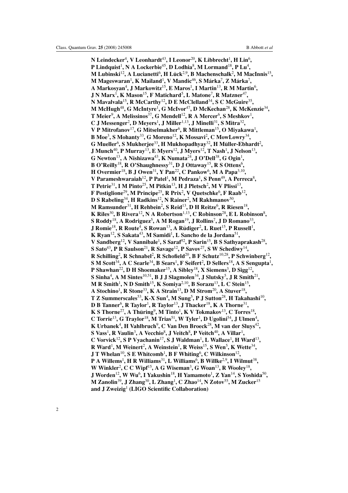**N Leindecker**<sup>4</sup> **, V Leonhardt**43**, I Leonor**20**, K Libbrecht**<sup>1</sup> **, H Lin**<sup>6</sup> **, P Lindquist**<sup>1</sup> **, N A Lockerbie**45**, D Lodhia**<sup>8</sup> **, M Lormand**18**, P Lu**<sup>4</sup> **,**  $M$  Lubinski<sup>12</sup>, A Lucianetti<sup>6</sup>, H Lück<sup>2,9</sup>, B Machenschalk<sup>2</sup>, M MacInnis<sup>15</sup>,  $\mathbf M$  Mageswaran $^1$ ,  $\mathbf K$  Mailand $^1$ ,  $\mathbf V$  Mandic $^{46}$ ,  $\mathbf S$  Márka $^7$ ,  $\mathbf Z$  Márka $^7$ , **A Markosyan**<sup>4</sup> **, J Markowitz**15**, E Maros**<sup>1</sup> **, I Martin**13**, R M Martin**<sup>6</sup> **, J N Marx**<sup>1</sup> **, K Mason**15**, F Matichard**<sup>5</sup> **, L Matone**<sup>7</sup> **, R Matzner**47**, N Mavalvala**15**, R McCarthy**12**, D E McClelland**34**, S C McGuire**35**, M McHugh**48**, G McIntyre**<sup>1</sup> **, G McIvor**47**, D McKechan**28**, K McKenzie**34**, T Meier**<sup>9</sup> **, A Melissinos**37**, G Mendell**12**, R A Mercer**<sup>6</sup> **, S Meshkov**<sup>1</sup> **, C J Messenger**<sup>2</sup> **, D Meyers**<sup>1</sup> **, J Miller**1,13**, J Minelli**31**, S Mitra**32**, V P Mitrofanov**17**, G Mitselmakher**<sup>6</sup> **, R Mittleman**15**, O Miyakawa**<sup>1</sup> **, B Moe**<sup>3</sup> **, S Mohanty**33**, G Moreno**12**, K Mossavi**<sup>2</sup> **, C MowLowry**34**,**  $\bf{G}$  Mueller $^6$ , S Mukherjee $^{33}$ , H Mukhopadhyay $^{32}$ , H Müller-Ebhardt $^2$ , **J Munch**40**, P Murray**13**, E Myers**12**, J Myers**12**, T Nash**<sup>1</sup> **, J Nelson**13**, G Newton**13**, A Nishizawa**43**, K Numata**24**, J O'Dell**38**, G Ogin**<sup>1</sup> **, B O'Reilly**18**, R O'Shaughnessy**31**, D J Ottaway**15**, R S Ottens**<sup>6</sup> **, H Overmier**18**, B J Owen**31**, Y Pan**22**, C Pankow**<sup>6</sup> **, M A Papa**3,10**, V** Parameshwaraiah<sup>12</sup>, P Patel<sup>1</sup>, M Pedraza<sup>1</sup>, S Penn<sup>49</sup>, A Perreca<sup>8</sup>, **T Petrie**31**, I M Pinto**25**, M Pitkin**13**, H J Pletsch**<sup>2</sup> **, M V Plissi**13**, F Postiglione**<sup>29</sup>**, M Principe**<sup>25</sup>**, R Prix**<sup>2</sup> **, V Quetschke**<sup>6</sup> **, F Raab**<sup>12</sup>**, D S Rabeling**<sup>34</sup>**, H Radkins**<sup>12</sup>**, N Rainer**<sup>2</sup> **, M Rakhmanov**<sup>50</sup>**, M Ramsunder**<sup>31</sup>**, H Rehbein**<sup>2</sup> **, S Reid**<sup>13</sup>**, D H Reitze**<sup>6</sup> **, R Riesen**<sup>18</sup>**, K Riles**<sup>30</sup>**, B Rivera**<sup>12</sup>**, N A Robertson**1,13**, C Robinson**<sup>28</sup>**, E L Robinson**<sup>8</sup> **, S Roddy**<sup>18</sup>**, A Rodriguez**<sup>5</sup> **, A M Rogan**<sup>19</sup>**, J Rollins**<sup>7</sup> **, J D Romano**<sup>33</sup>**, J** Romie<sup>18</sup>, R Route<sup>4</sup>, S Rowan<sup>13</sup>, A Rüdiger<sup>2</sup>, L Ruet<sup>15</sup>, P Russell<sup>1</sup>, **K Ryan**<sup>12</sup>**, S Sakata**<sup>43</sup>**, M Samidi**<sup>1</sup> **, L Sancho de la Jordana**<sup>51</sup>**, V Sandberg**<sup>12</sup>**, V Sannibale**<sup>1</sup> **, S Saraf**<sup>52</sup>**, P Sarin**<sup>15</sup>**, B S Sathyaprakash**<sup>28</sup>**, S** Sato<sup>43</sup>, **P** R Saulson<sup>21</sup>, R Savage<sup>12</sup>, **P** Savov<sup>27</sup>, S W Schediwy<sup>14</sup>, **R Schilling**<sup>2</sup> **, R Schnabel**<sup>2</sup> **, R Schofield**<sup>20</sup>**, B F Schutz**10,28**, P Schwinberg**<sup>12</sup>**, S M Scott**<sup>34</sup>**, A C Searle**<sup>34</sup>**, B Sears**<sup>1</sup> **, F Seifert**<sup>2</sup> **, D Sellers**<sup>18</sup>**, A S Sengupta**<sup>1</sup> **, P Shawhan**<sup>22</sup>**, D H Shoemaker**<sup>15</sup>**, A Sibley**<sup>18</sup>**, X Siemens**<sup>3</sup> **, D Sigg**<sup>12</sup>**, S Sinha**<sup>4</sup> **, A M Sintes**10,51**, B J J Slagmolen**<sup>34</sup>**, J Slutsky**<sup>5</sup> **, J R Smith**<sup>21</sup>**, M R Smith**<sup>1</sup> **, N D Smith**<sup>15</sup>**, K Somiya**2,10**, B Sorazu**<sup>13</sup>**, L C Stein**<sup>15</sup>**, A Stochino**<sup>1</sup> **, R Stone**<sup>33</sup>**, K A Strain**<sup>13</sup>**, D M Strom**<sup>20</sup>**, A Stuver**<sup>18</sup>**, T Z Summerscales**<sup>53</sup>**, K-X Sun**<sup>4</sup> **, M Sung**<sup>5</sup> **, P J Sutton**<sup>28</sup>**, H Takahashi**<sup>10</sup>**, D B Tanner**<sup>6</sup> **, R Taylor**<sup>1</sup> **, R Taylor**<sup>13</sup>**, J Thacker**<sup>18</sup>**, K A Thorne**<sup>31</sup>**,**  $\mathbf{K}$  S Thorne<sup>27</sup>, A Thüring $^9$ , M Tinto $^1$ , **K** V Tokmakov $^{13}$ , C Torres $^{18}$ , **C Torrie**<sup>13</sup>**, G Traylor**<sup>18</sup>**, M Trias**<sup>51</sup>**, W Tyler**<sup>1</sup> **, D Ugolini**<sup>54</sup>**, J Ulmen**<sup>4</sup> **,**  $\mathbf K$  Urbanek $^4$ , H Vahlbruch $^9$ , C Van Den Broeck $^{28}$ , M van der Sluys $^{42}$ ,  $\mathbf S$  Vass<sup>1</sup>, R Vaulin<sup>3</sup>, A Vecchio $^8$ , J Veitch $^8$ , P Veitch $^{40}$ , A Villar<sup>1</sup>, **C Vorvick**<sup>12</sup>**, S P Vyachanin**<sup>17</sup>**, S J Waldman**<sup>1</sup> **, L Wallace**<sup>1</sup> **, H Ward**<sup>13</sup>**, R Ward**<sup>1</sup> **, M Weinert**<sup>2</sup> **, A Weinstein**<sup>1</sup> **, R Weiss**<sup>15</sup>**, S Wen**<sup>5</sup> **, K Wette**<sup>34</sup>**, J T Whelan**<sup>10</sup>**, S E Whitcomb**<sup>1</sup> **, B F Whiting**<sup>6</sup> **, C Wilkinson**<sup>12</sup>**, P A Willems**<sup>1</sup> **, H R Williams**<sup>31</sup>**, L Williams**<sup>6</sup> **, B Willke**2,9**, I Wilmut**<sup>38</sup>**, W Winkler**<sup>2</sup> **, C C Wipf**<sup>15</sup>**, A G Wiseman**<sup>3</sup> **, G Woan**<sup>13</sup>**, R Wooley**<sup>18</sup>**, J Worden**<sup>12</sup>**, W Wu**<sup>6</sup> **, I Yakushin**<sup>18</sup>**, H Yamamoto**<sup>1</sup> **, Z Yan**<sup>14</sup>**, S Yoshida**<sup>50</sup>**, M Zanolin**<sup>39</sup>**, J Zhang**<sup>30</sup>**, L Zhang**<sup>1</sup> **, C Zhao**<sup>14</sup>**, N Zotov**<sup>55</sup>**, M Zucker**<sup>15</sup> **and J Zweizig**<sup>1</sup> **(LIGO Scientific Collaboration)**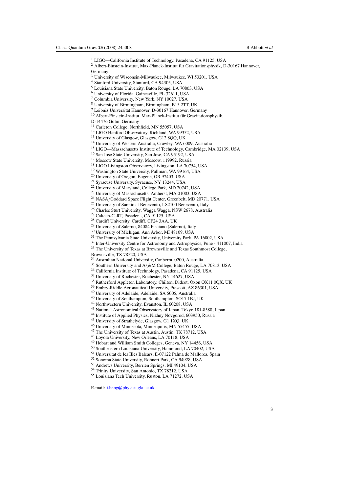- <sup>1</sup> LIGO—California Institute of Technology, Pasadena, CA 91125, USA
- Albert-Einstein-Institut, Max-Planck-Institut für Gravitationsphysik, D-30167 Hannover, Germany
- University of Wisconsin-Milwaukee, Milwaukee, WI 53201, USA
- Stanford University, Stanford, CA 94305, USA
- Louisiana State University, Baton Rouge, LA 70803, USA
- University of Florida, Gainesville, FL 32611, USA
- Columbia University, New York, NY 10027, USA
- University of Birmingham, Birmingham, B15 2TT, UK
- <sup>9</sup> Leibniz Universität Hannover, D-30167 Hannover, Germany
- $^{10}$  Albert-Einstein-Institut, Max-Planck-Institut für Gravitationsphysik,
- D-14476 Golm, Germany
- <sup>11</sup> Carleton College, Northfield, MN 55057, USA
- LIGO Hanford Observatory, Richland, WA 99352, USA
- <sup>13</sup> University of Glasgow, Glasgow, G12 8QQ, UK
- University of Western Australia, Crawley, WA 6009, Australia
- LIGO—Massachusetts Institute of Technology, Cambridge, MA 02139, USA
- San Jose State University, San Jose, CA 95192, USA
- 
- Moscow State University, Moscow, 119992, Russia
- LIGO Livingston Observatory, Livingston, LA 70754, USA
- Washington State University, Pullman, WA 99164, USA
- University of Oregon, Eugene, OR 97403, USA
- <sup>21</sup> Syracuse University, Syracuse, NY 13244, USA
- University of Maryland, College Park, MD 20742, USA
- University of Massachusetts, Amherst, MA 01003, USA
- <sup>24</sup> NASA/Goddard Space Flight Center, Greenbelt, MD 20771, USA
- <sup>25</sup> University of Sannio at Benevento, I-82100 Benevento, Italy
- Charles Sturt University, Wagga Wagga, NSW 2678, Australia
- Caltech-CaRT, Pasadena, CA 91125, USA
- Cardiff University, Cardiff, CF24 3AA, UK
- University of Salerno, 84084 Fisciano (Salerno), Italy
- University of Michigan, Ann Arbor, MI 48109, USA
- The Pennsylvania State University, University Park, PA 16802, USA
- <sup>32</sup> Inter-University Centre for Astronomy and Astrophysics, Pune 411007, India
- The University of Texas at Brownsville and Texas Southmost College,
- Brownsville, TX 78520, USA
- 
- <sup>34</sup> Australian National University, Canberra, 0200, Australia<br><sup>35</sup> Southern University and  $A \& M$  College, Baton Rouge, LA 70813, USA
- <sup>36</sup> California Institute of Technology, Pasadena, CA 91125, USA
- University of Rochester, Rochester, NY 14627, USA
- Rutherford Appleton Laboratory, Chilton, Didcot, Oxon OX11 0QX, UK
- Embry-Riddle Aeronautical University, Prescott, AZ 86301, USA
- University of Adelaide, Adelaide, SA 5005, Australia
- University of Southampton, Southampton, SO17 1BJ, UK
- Northwestern University, Evanston, IL 60208, USA
- National Astronomical Observatory of Japan, Tokyo 181-8588, Japan
- Institute of Applied Physics, Nizhny Novgorod, 603950, Russia
- University of Strathclyde, Glasgow, G1 1XQ, UK
- University of Minnesota, Minneapolis, MN 55455, USA
- The University of Texas at Austin, Austin, TX 78712, USA
- Loyola University, New Orleans, LA 70118, USA
- Hobart and William Smith Colleges, Geneva, NY 14456, USA
- Southeastern Louisiana University, Hammond, LA 70402, USA
- Universitat de les Illes Balears, E-07122 Palma de Mallorca, Spain
- Sonoma State University, Rohnert Park, CA 94928, USA
- Andrews University, Berrien Springs, MI 49104, USA
- Trinity University, San Antonio, TX 78212, USA
- Louisiana Tech University, Ruston, LA 71272, USA

E-mail: [i.heng@physics.gla.ac.uk](mailto:i.heng@physics.gla.ac.uk)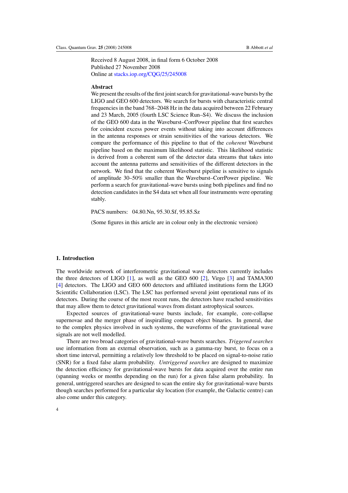Received 8 August 2008, in final form 6 October 2008 Published 27 November 2008 Online at [stacks.iop.org/CQG/25/245008](http://stacks.iop.org/CQG/25/245008)

#### **Abstract**

We present the results of the first joint search for gravitational-wave bursts by the LIGO and GEO 600 detectors. We search for bursts with characteristic central frequencies in the band 768–2048 Hz in the data acquired between 22 February and 23 March, 2005 (fourth LSC Science Run–S4). We discuss the inclusion of the GEO 600 data in the Waveburst–CorrPower pipeline that first searches for coincident excess power events without taking into account differences in the antenna responses or strain sensitivities of the various detectors. We compare the performance of this pipeline to that of the *coherent* Waveburst pipeline based on the maximum likelihood statistic. This likelihood statistic is derived from a coherent sum of the detector data streams that takes into account the antenna patterns and sensitivities of the different detectors in the network. We find that the coherent Waveburst pipeline is sensitive to signals of amplitude 30–50% smaller than the Waveburst–CorrPower pipeline. We perform a search for gravitational-wave bursts using both pipelines and find no detection candidates in the S4 data set when all four instruments were operating stably.

PACS numbers: 04.80.Nn, 95.30.Sf, 95.85.Sz

(Some figures in this article are in colour only in the electronic version)

#### **1. Introduction**

The worldwide network of interferometric gravitational wave detectors currently includes the three detectors of LIGO [\[1\]](#page-23-0), as well as the GEO 600 [\[2](#page-23-0)], Virgo [\[3\]](#page-23-0) and TAMA300 [\[4](#page-23-0)] detectors. The LIGO and GEO 600 detectors and affiliated institutions form the LIGO Scientific Collaboration (LSC). The LSC has performed several joint operational runs of its detectors. During the course of the most recent runs, the detectors have reached sensitivities that may allow them to detect gravitational waves from distant astrophysical sources.

Expected sources of gravitational-wave bursts include, for example, core-collapse supernovae and the merger phase of inspiralling compact object binaries. In general, due to the complex physics involved in such systems, the waveforms of the gravitational wave signals are not well modelled.

There are two broad categories of gravitational-wave bursts searches. *Triggered searches* use information from an external observation, such as a gamma-ray burst, to focus on a short time interval, permitting a relatively low threshold to be placed on signal-to-noise ratio (SNR) for a fixed false alarm probability. *Untriggered searches* are designed to maximize the detection efficiency for gravitational-wave bursts for data acquired over the entire run (spanning weeks or months depending on the run) for a given false alarm probability. In general, untriggered searches are designed to scan the entire sky for gravitational-wave bursts though searches performed for a particular sky location (for example, the Galactic centre) can also come under this category.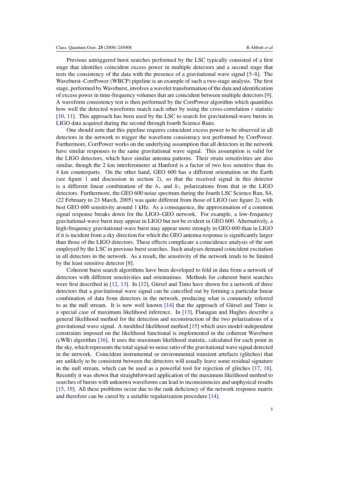Previous untriggered burst searches performed by the LSC typically consisted of a first stage that identifies coincident excess power in multiple detectors and a second stage that tests the consistency of the data with the presence of a gravitational wave signal [\[5–8](#page-23-0)]. The Waveburst–CorrPower (WBCP) pipeline is an example of such a two-stage analysis. The first stage, performed by Waveburst, involves a wavelet transformation of the data and identification of excess power in time-frequency volumes that are coincident between multiple detectors [\[9\]](#page-23-0). A waveform consistency test is then performed by the CorrPower algorithm which quantifies how well the detected waveforms match each other by using the cross-correlation *r* statistic [\[10](#page-23-0), [11\]](#page-23-0). This approach has been used by the LSC to search for gravitational-wave bursts in LIGO data acquired during the second through fourth Science Runs.

One should note that this pipeline requires coincident excess power to be observed in all detectors in the network to trigger the waveform consistency test performed by CorrPower. Furthermore, CorrPower works on the underlying assumption that all detectors in the network have similar responses to the same gravitational wave signal. This assumption is valid for the LIGO detectors, which have similar antenna patterns. Their strain sensitivities are also similar, though the 2 km interferometer at Hanford is a factor of two less sensitive than its 4 km counterparts. On the other hand, GEO 600 has a different orientation on the Earth (see figure [1](#page-8-0) and discussion in section [2\)](#page-9-0), so that the received signal in this detector is a different linear combination of the  $h_{+}$  and  $h_{\times}$  polarizations from that in the LIGO detectors. Furthermore, the GEO 600 noise spectrum during the fourth LSC Science Run, S4, (22 February to 23 March, 2005) was quite different from those of LIGO (see figure [2\)](#page-9-0), with best GEO 600 sensitivity around 1 kHz. As a consequence, the approximation of a common signal response breaks down for the LIGO–GEO network. For example, a low-frequency gravitational-wave burst may appear in LIGO but not be evident in GEO 600. Alternatively, a high-frequency gravitational-wave burst may appear more strongly in GEO 600 than in LIGO if it is incident from a sky direction for which the GEO antenna response is significantly larger than those of the LIGO detectors. These effects complicate a coincidence analysis of the sort employed by the LSC in previous burst searches. Such analyses demand coincident excitation in all detectors in the network. As a result, the sensitivity of the network tends to be limited by the least sensitive detector [\[8\]](#page-23-0).

Coherent burst search algorithms have been developed to fold in data from a network of detectors with different sensitivities and orientations. Methods for coherent burst searches were first described in  $[12, 13]$  $[12, 13]$  $[12, 13]$  $[12, 13]$ . In  $[12]$  $[12]$ , Gürsel and Tinto have shown for a network of three detectors that a gravitational wave signal can be cancelled out by forming a particular linear combination of data from detectors in the network, producing what is commonly referred to as the null stream. It is now well known  $[14]$  $[14]$  that the approach of Gürsel and Tinto is a special case of maximum likelihood inference. In [\[13\]](#page-23-0), Flanagan and Hughes describe a general likelihood method for the detection and reconstruction of the two polarizations of a gravitational wave signal. A modified likelihood method [\[15](#page-23-0)] which uses model-independent constraints imposed on the likelihood functional is implemented in the coherent Waveburst (cWB) algorithm [\[16\]](#page-23-0). It uses the maximum likelihood statistic, calculated for each point in the sky, which represents the total signal-to-noise ratio of the gravitational wave signal detected in the network. Coincident instrumental or environmental transient artefacts (glitches) that are unlikely to be consistent between the detectors will usually leave some residual signature in the null stream, which can be used as a powerful tool for rejection of glitches [\[17,](#page-23-0) [18\]](#page-23-0). Recently it was shown that straightforward application of the maximum likelihood method to searches of bursts with unknown waveforms can lead to inconsistencies and unphysical results [\[15](#page-23-0), [19](#page-23-0)]. All these problems occur due to the rank deficiency of the network response matrix and therefore can be cured by a suitable regularization procedure [\[14](#page-23-0)].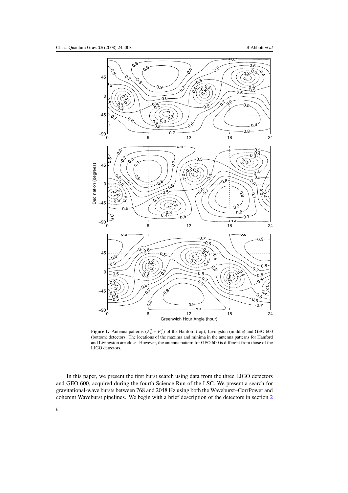<span id="page-8-0"></span>

**Figure 1.** Antenna patterns  $(F_+^2 + F_\times^2)$  of the Hanford (top), Livingston (middle) and GEO 600 (bottom) detectors. The locations of the maxima and minima in the antenna patterns for Hanford and Livingston are close. However, the antenna pattern for GEO 600 is different from those of the LIGO detectors.

In this paper, we present the first burst search using data from the three LIGO detectors and GEO 600, acquired during the fourth Science Run of the LSC. We present a search for gravitational-wave bursts between 768 and 2048 Hz using both the Waveburst–CorrPower and coherent Waveburst pipelines. We begin with a brief description of the detectors in section [2](#page-9-0)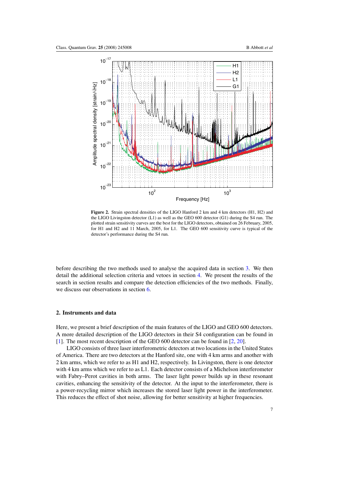<span id="page-9-0"></span>

Figure 2. Strain spectral densities of the LIGO Hanford 2 km and 4 km detectors (H1, H2) and the LIGO Livingston detector (L1) as well as the GEO 600 detector (G1) during the S4 run. The plotted strain sensitivity curves are the best for the LIGO detectors, obtained on 26 February, 2005, for H1 and H2 and 11 March, 2005, for L1. The GEO 600 sensitivity curve is typical of the detector's performance during the S4 run.

before describing the two methods used to analyse the acquired data in section [3.](#page-10-0) We then detail the additional selection criteria and vetoes in section [4.](#page-14-0) We present the results of the search in section results and compare the detection efficiencies of the two methods. Finally, we discuss our observations in section [6.](#page-21-0)

#### **2. Instruments and data**

Here, we present a brief description of the main features of the LIGO and GEO 600 detectors. A more detailed description of the LIGO detectors in their S4 configuration can be found in [\[1](#page-23-0)]. The most recent description of the GEO 600 detector can be found in [\[2](#page-23-0), [20\]](#page-23-0).

LIGO consists of three laser interferometric detectors at two locations in the United States of America. There are two detectors at the Hanford site, one with 4 km arms and another with 2 km arms, which we refer to as H1 and H2, respectively. In Livingston, there is one detector with 4 km arms which we refer to as L1. Each detector consists of a Michelson interferometer with Fabry–Perot cavities in both arms. The laser light power builds up in these resonant cavities, enhancing the sensitivity of the detector. At the input to the interferometer, there is a power-recycling mirror which increases the stored laser light power in the interferometer. This reduces the effect of shot noise, allowing for better sensitivity at higher frequencies.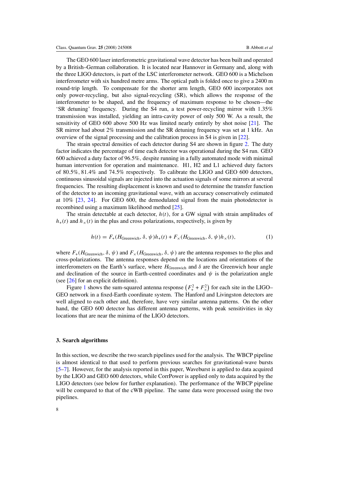<span id="page-10-0"></span>The GEO 600 laser interferometric gravitational wave detector has been built and operated by a British–German collaboration. It is located near Hannover in Germany and, along with the three LIGO detectors, is part of the LSC interferometer network. GEO 600 is a Michelson interferometer with six hundred metre arms. The optical path is folded once to give a 2400 m round-trip length. To compensate for the shorter arm length, GEO 600 incorporates not only power-recycling, but also signal-recycling (SR), which allows the response of the interferometer to be shaped, and the frequency of maximum response to be chosen—the 'SR detuning' frequency. During the S4 run, a test power-recycling mirror with 1*.*35% transmission was installed, yielding an intra-cavity power of only 500 W. As a result, the sensitivity of GEO 600 above 500 Hz was limited nearly entirely by shot noise [\[21\]](#page-23-0). The SR mirror had about 2% transmission and the SR detuning frequency was set at 1 kHz. An overview of the signal processing and the calibration process in S4 is given in [\[22\]](#page-23-0).

The strain spectral densities of each detector during S4 are shown in figure [2.](#page-9-0) The duty factor indicates the percentage of time each detector was operational during the S4 run. GEO 600 achieved a duty factor of 96*.*5%*,* despite running in a fully automated mode with minimal human intervention for operation and maintenance. H1, H2 and L1 achieved duty factors of 80*.*5%*,* 81*.*4% and 74*.*5% respectively. To calibrate the LIGO and GEO 600 detectors, continuous sinusoidal signals are injected into the actuation signals of some mirrors at several frequencies. The resulting displacement is known and used to determine the transfer function of the detector to an incoming gravitational wave, with an accuracy conservatively estimated at 10% [\[23,](#page-23-0) [24\]](#page-23-0). For GEO 600, the demodulated signal from the main photodetector is recombined using a maximum likelihood method [\[25\]](#page-23-0).

The strain detectable at each detector,  $h(t)$ , for a GW signal with strain amplitudes of  $h_{+}(t)$  and  $h_{\times}(t)$  in the plus and cross polarizations, respectively, is given by

$$
h(t) = F_{+}(H_{\text{Greenwich}}, \delta, \psi)h_{+}(t) + F_{\times}(H_{\text{Greenwich}}, \delta, \psi)h_{\times}(t), \tag{1}
$$

where  $F_+(H_{\text{Greenwich}}, \delta, \psi)$  and  $F_\times(H_{\text{Greenwich}}, \delta, \psi)$  are the antenna responses to the plus and cross-polarizations. The antenna responses depend on the locations and orientations of the interferometers on the Earth's surface, where  $H_{\text{Greenwich}}$  and  $\delta$  are the Greenwich hour angle and declination of the source in Earth-centred coordinates and  $\psi$  is the polarization angle (see [\[26\]](#page-23-0) for an explicit definition).

Figure [1](#page-8-0) shows the sum-squared antenna response  $(F_+^2 + F_\times^2)$  for each site in the LIGO– GEO network in a fixed-Earth coordinate system. The Hanford and Livingston detectors are well aligned to each other and, therefore, have very similar antenna patterns. On the other hand, the GEO 600 detector has different antenna patterns, with peak sensitivities in sky locations that are near the minima of the LIGO detectors.

#### **3. Search algorithms**

In this section, we describe the two search pipelines used for the analysis. The WBCP pipeline is almost identical to that used to perform previous searches for gravitational-wave bursts [\[5–7](#page-23-0)]. However, for the analysis reported in this paper, Waveburst is applied to data acquired by the LIGO and GEO 600 detectors, while CorrPower is applied only to data acquired by the LIGO detectors (see below for further explanation). The performance of the WBCP pipeline will be compared to that of the cWB pipeline. The same data were processed using the two pipelines.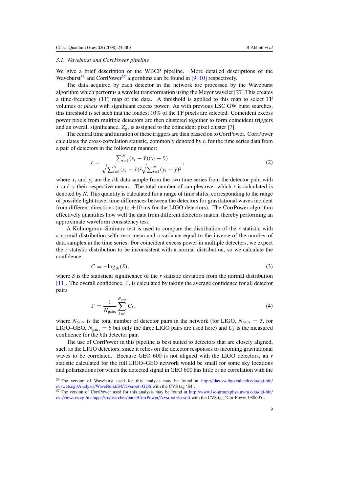#### *3.1. Waveburst and CorrPower pipeline*

We give a brief description of the WBCP pipeline. More detailed descriptions of the Waveburst<sup>56</sup> and CorrPower<sup>57</sup> algorithms can be found in [\[9,](#page-23-0) [10\]](#page-23-0) respectively.

The data acquired by each detector in the network are processed by the Waveburst algorithm which performs a wavelet transformation using the Meyer wavelet [\[27\]](#page-23-0) This creates a time-frequency (TF) map of the data. A threshold is applied to this map to select TF volumes or *pixels* with significant excess power. As with previous LSC GW burst searches, this threshold is set such that the loudest 10% of the TF pixels are selected. Coincident excess power pixels from multiple detectors are then clustered together to form coincident triggers and an overall significance,  $Z_g$ , is assigned to the coincident pixel cluster [\[7](#page-23-0)].

The central time and duration of these triggers are then passed on to CorrPower. CorrPower calculates the cross-correlation statistic, commonly denoted by *r*, for the time series data from a pair of detectors in the following manner:

$$
r = \frac{\sum_{i=1}^{N} (x_i - \bar{x})(y_i - \bar{y})}{\sqrt{\sum_{i=1}^{N} (x_i - \bar{x})^2} \sqrt{\sum_{i=1}^{N} (y_i - \bar{y})^2}},
$$
\n(2)

where  $x_i$  and  $y_i$  are the *i*th data sample from the two time series from the detector pair, with  $\bar{x}$  and  $\bar{y}$  their respective means. The total number of samples over which *r* is calculated is denoted by *N*. This quantity is calculated for a range of time shifts, corresponding to the range of possible light travel time differences between the detectors for gravitational waves incident from different directions (up to  $\pm 10$  ms for the LIGO detectors). The CorrPower algorithm effectively quantifies how well the data from different detectors match, thereby performing an approximate waveform consistency test.

A Kolmogorov–Smirnov test is used to compare the distribution of the *r* statistic with a normal distribution with zero mean and a variance equal to the inverse of the number of data samples in the time series. For coincident excess power in multiple detectors, we expect the *r* statistic distribution to be inconsistent with a normal distribution, so we calculate the confidence

$$
C = -\log_{10}(S),\tag{3}
$$

where *S* is the statistical significance of the *r* statistic deviation from the normal distribution [\[11](#page-23-0)]. The overall confidence,  $\Gamma$ , is calculated by taking the average confidence for all detector pairs

$$
\Gamma = \frac{1}{N_{\text{pairs}}} \sum_{k=1}^{N_{\text{pairs}}} C_k,\tag{4}
$$

where  $N_{\text{pairs}}$  is the total number of detector pairs in the network (for LIGO,  $N_{\text{pairs}} = 3$ , for LIGO–GEO,  $N_{\text{pairs}} = 6$  but only the three LIGO pairs are used here) and  $C_k$  is the measured confidence for the *k*th detector pair.

The use of CorrPower in this pipeline is best suited to detectors that are closely aligned, such as the LIGO detectors, since it relies on the detector responses to incoming gravitational waves to be correlated. Because GEO 600 is not aligned with the LIGO detectors, an *r* statistic calculated for the full LIGO–GEO network would be small for some sky locations and polarizations for which the detected signal in GEO 600 has little or no correlation with the

<sup>56</sup> The version of Waveburst used for this analysis may be found at [http://ldas-sw.ligo.caltech.edu/cgi-bin/](http://ldas-sw.ligo.caltech.edu/cgi-bin/cvsweb.cgi/Analysis/WaveBurst/S4/?cvsroot=GDS) [cvsweb.cgi/Analysis/WaveBurst/S4/?cvsroot=GDS](http://ldas-sw.ligo.caltech.edu/cgi-bin/cvsweb.cgi/Analysis/WaveBurst/S4/?cvsroot=GDS) with the CVS tag 'S4'.

<sup>57</sup> The version of CorrPower used for this analysis may be found at [http://www.lsc-group.phys.uwm.edu/cgi-bin/](http://www.lsc-group.phys.uwm.edu/cgi-bin/cvs/viewcvs.cgi/matapps/src/searches/burst/CorrPower/?cvsroot=lscsoft) [cvs/viewcvs.cgi/matapps/src/searches/burst/CorrPower/?cvsroot=lscsoft](http://www.lsc-group.phys.uwm.edu/cgi-bin/cvs/viewcvs.cgi/matapps/src/searches/burst/CorrPower/?cvsroot=lscsoft) with the CVS tag 'CorrPower-080605'.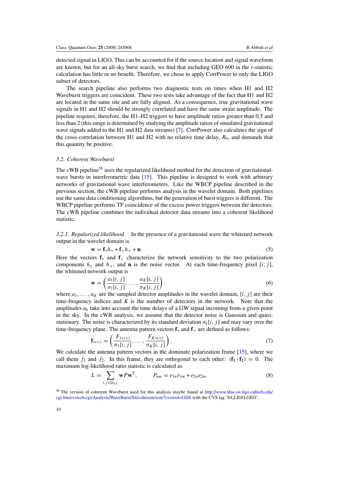<span id="page-12-0"></span>detected signal in LIGO. This can be accounted for if the source location and signal waveform are known, but for an all-sky burst search, we find that including GEO 600 in the *r*-statistic calculation has little or no benefit. Therefore, we chose to apply CorrPower to only the LIGO subset of detectors.

The search pipeline also performs two diagnostic tests on times when H1 and H2 Waveburst triggers are coincident. These two tests take advantage of the fact that H1 and H2 are located in the same site and are fully aligned. As a consequence, true gravitational wave signals in H1 and H2 should be strongly correlated and have the same strain amplitude. The pipeline requires, therefore, the H1–H2 triggers to have amplitude ratios greater than 0.5 and less than 2 (this range is determined by studying the amplitude ratios of simulated gravitational wave signals added to the H1 and H2 data streams) [\[7](#page-23-0)]. CorrPower also calculates the sign of the cross-correlation between H1 and H2 with no relative time delay,  $R_0$ , and demands that this quantity be positive.

#### *3.2. Coherent Waveburst*

The cWB pipeline<sup>58</sup> uses the regularized likelihood method for the detection of gravitational-wave bursts in interferometric data [\[15\]](#page-23-0). This pipeline is designed to work with arbitrary networks of gravitational wave interferometers. Like the WBCP pipeline described in the previous section, the cWB pipeline performs analysis in the wavelet domain. Both pipelines use the same data conditioning algorithms, but the generation of burst triggers is different. The WBCP pipeline performs TF coincidence of the excess power triggers between the detectors. The cWB pipeline combines the individual detector data streams into a coherent likelihood statistic.

*3.2.1. Regularized likelihood.* In the presence of a gravitational wave the whitened network output in the wavelet domain is

$$
\mathbf{w} = \mathbf{f}_{+}h_{+} + \mathbf{f}_{\times}h_{\times} + \mathbf{n}.\tag{5}
$$

Here the vectors  $f_{+}$  and  $f_{\times}$  characterize the network sensitivity to the two polarization components  $h_+$  and  $h_\times$ , and **n** is the noise vector. At each time-frequency pixel [*i, j*], the whitened network output is

$$
\mathbf{w} = \left(\frac{a_1[i,j]}{\sigma_1[i,j]}, \dots, \frac{a_K[i,j]}{\sigma_K[i,j]}\right) \tag{6}
$$

where  $a_1, \ldots, a_k$  are the sampled detector amplitudes in the wavelet domain, [*i, j*] are their time-frequency indices and *K* is the number of detectors in the network. Note that the amplitudes  $a_k$  take into account the time delays of a GW signal incoming from a given point in the sky. In the cWB analysis, we assume that the detector noise is Gaussian and quasistationary. The noise is characterized by its standard deviation  $\sigma_k[i, j]$  and may vary over the time-frequency plane. The antenna pattern vectors  $f_{+}$  and  $f_{\times}$  are defined as follows:

$$
\mathbf{f}_{+(\times)} = \left(\frac{F_{1+(\times)}}{\sigma_1[i,j]}, \dots, \frac{F_{K+(\times)}}{\sigma_K[i,j]}\right). \tag{7}
$$

We calculate the antenna pattern vectors in the dominate polarization frame [\[15\]](#page-23-0), where we call them  $f_1$  and  $f_2$ . In this frame, they are orthogonal to each other:  $(f_1 \cdot f_2) = 0$ . The maximum log-likelihood ratio statistic is calculated as

$$
L = \sum_{i,j \in \Omega_{TF}} \mathbf{w} P \mathbf{w}^T, \qquad P_{nm} = e_{1n} e_{1m} + e_{2n} e_{2m}
$$
 (8)

<sup>58</sup> The version of coherent Waveburst used for this analysis maybe found at [http://www.ldas-sw.ligo.caltech.edu/](http://www.ldas-sw.ligo.caltech.edu/cgi-bin/cvsweb.cgi/Analysis/WaveBurst/S4/coherent/wat/?cvsroot=GDS) [cgi-bin/cvsweb.cgi/Analysis/WaveBurst/S4/coherent/wat/?cvsroot=GDS](http://www.ldas-sw.ligo.caltech.edu/cgi-bin/cvsweb.cgi/Analysis/WaveBurst/S4/coherent/wat/?cvsroot=GDS) with the CVS tag 'S4 LIGO-GEO'.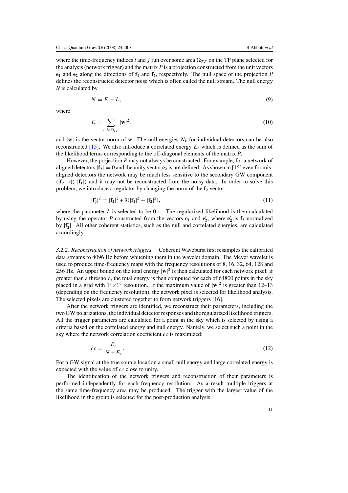where the time-frequency indices *i* and *j* run over some area  $\Omega_{TF}$  on the TF plane selected for the analysis (network trigger) and the matrix *P* is a projection constructed from the unit vectors  $e_1$  and  $e_2$  along the directions of  $f_1$  and  $f_2$ , respectively. The null space of the projection *P* defines the reconstructed detector noise which is often called the null stream. The null energy *N* is calculated by

$$
N = E - L,\tag{9}
$$

where

$$
E = \sum_{i,j \in \Omega_{TF}} |\mathbf{w}|^2, \tag{10}
$$

and  $|\mathbf{w}|$  is the vector norm of **w**. The null energies  $N_k$  for individual detectors can be also reconstructed [\[15\]](#page-23-0). We also introduce a correlated energy  $E_c$  which is defined as the sum of the likelihood terms corresponding to the off-diagonal elements of the matrix *P*.

However, the projection *P* may not always be constructed. For example, for a network of aligned detectors  $|{\bf f}_2| = 0$  and the unity vector  ${\bf e}_2$  is not defined. As shown in [\[15\]](#page-23-0) even for misaligned detectors the network may be much less sensitive to the secondary GW component  $(|{\bf f}_2| \ll |{\bf f}_1|)$  and it may not be reconstructed from the noisy data. In order to solve this problem, we introduce a regulator by changing the norm of the  $f_2$  vector

$$
|\mathbf{f}'_2|^2 = |\mathbf{f}_2|^2 + \delta(|\mathbf{f}_1|^2 - |\mathbf{f}_2|^2),\tag{11}
$$

where the parameter  $\delta$  is selected to be 0.1. The regularized likelihood is then calculated by using the operator P constructed from the vectors  $\mathbf{e}_1$  and  $\mathbf{e}'_2$ , where  $\mathbf{e}'_2$  is  $\mathbf{f}_2$  normalized by |**f <sup>2</sup>**|. All other coherent statistics, such as the null and correlated energies, are calculated accordingly.

*3.2.2. Reconstruction of network triggers.* Coherent Waveburst first resamples the calibrated data streams to 4096 Hz before whitening them in the wavelet domain. The Meyer wavelet is used to produce time-frequency maps with the frequency resolutions of 8, 16, 32, 64, 128 and 256 Hz. An upper bound on the total energy  $|\mathbf{w}|^2$  is then calculated for each network pixel; if greater than a threshold, the total energy is then computed for each of 64800 points in the sky placed in a grid with  $1° \times 1°$  resolution. If the maximum value of  $|\mathbf{w}|^2$  is greater than 12–13 (depending on the frequency resolution), the network pixel is selected for likelihood analysis. The selected pixels are clustered together to form network triggers [\[16](#page-23-0)].

After the network triggers are identified, we reconstruct their parameters, including the two GW polarizations, the individual detector responses and the regularized likelihood triggers. All the trigger parameters are calculated for a point in the sky which is selected by using a criteria based on the correlated energy and null energy. Namely, we select such a point in the sky where the network correlation coefficient *cc* is maximized:

$$
cc = \frac{E_c}{N + E_c}.\tag{12}
$$

For a GW signal at the true source location a small null energy and large correlated energy is expected with the value of *cc* close to unity.

The identification of the network triggers and reconstruction of their parameters is performed independently for each frequency resolution. As a result multiple triggers at the same time-frequency area may be produced. The trigger with the largest value of the likelihood in the group is selected for the post-production analysis.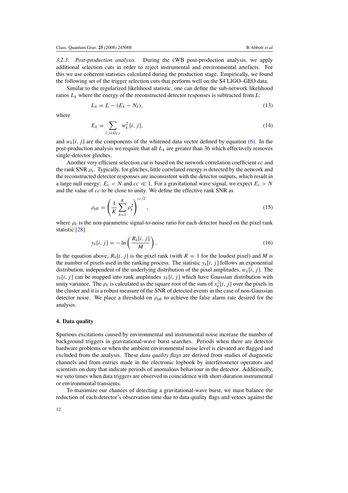<span id="page-14-0"></span>*3.2.3. Post-production analysis.* During the cWB post-production analysis, we apply additional selection cuts in order to reject instrumental and environmental artefacts. For this we use coherent statistics calculated during the production stage. Empirically, we found the following set of the trigger selection cuts that perform well on the S4 LIGO–GEO data.

Similar to the regularized likelihood statistic, one can define the sub-network likelihood ratios  $L_k$  where the energy of the reconstructed detector responses is subtracted from  $L$ :

$$
L_k = L - (E_k - N_k),\tag{13}
$$

where

$$
E_k = \sum_{i,j \in \Omega_{TF}} w_k^2 [i,j],\tag{14}
$$

and  $w_k[i, j]$  are the components of the whitened data vector defined by equation [\(6\)](#page-12-0). In the post-production analysis we require that all  $L_k$  are greater than 36 which effectively removes single-detector glitches.

Another very efficient selection cut is based on the network correlation coefficient *cc* and the rank SNR  $\rho_k$ . Typically, for glitches, little correlated energy is detected by the network and the reconstructed detector responses are inconsistent with the detector outputs, which result in a large null energy:  $E_c < N$  and  $cc \ll 1$ . For a gravitational wave signal, we expect  $E_c > N$ and the value of *cc* to be close to unity. We define the effective rank SNR as

$$
\rho_{\rm eff} = \left(\frac{1}{K} \sum_{k=1}^{K} \rho_k^2\right)^{cc/2},\tag{15}
$$

where  $\rho_k$  is the non-parametric signal-to-noise ratio for each detector based on the pixel rank statistic [\[28](#page-23-0)]

$$
y_k[i, j] = -\ln\left(\frac{R_k[i, j]}{M}\right). \tag{16}
$$

In the equation above,  $R_k[i, j]$  is the pixel rank (with  $R = 1$  for the loudest pixel) and *M* is the number of pixels used in the ranking process. The statistic  $y_k[i, j]$  follows an exponential distribution, independent of the underlying distribution of the pixel amplitudes, *wk*[*i, j* ]. The  $y_k[i, j]$  can be mapped into rank amplitudes  $x_k[i, j]$  which have Gaussian distribution with unity variance. The  $\rho_k$  is calculated as the square root of the sum of  $x_k^2[i, j]$  over the pixels in the cluster and it is a robust measure of the SNR of detected events in the case of non-Gaussian detector noise. We place a threshold on  $\rho_{\text{eff}}$  to achieve the false alarm rate desired for the analysis.

#### **4. Data quality**

Spurious excitations caused by environmental and instrumental noise increase the number of background triggers in gravitational-wave burst searches. Periods when there are detector hardware problems or when the ambient environmental noise level is elevated are flagged and excluded from the analysis. These *data quality flags* are derived from studies of diagnostic channels and from entries made in the electronic logbook by interferometer operators and scientists on duty that indicate periods of anomalous behaviour in the detector. Additionally, we veto times when data triggers are observed in coincidence with short-duration instrumental or environmental transients.

To maximize our chances of detecting a gravitational-wave burst, we must balance the reduction of each detector's observation time due to data quality flags and vetoes against the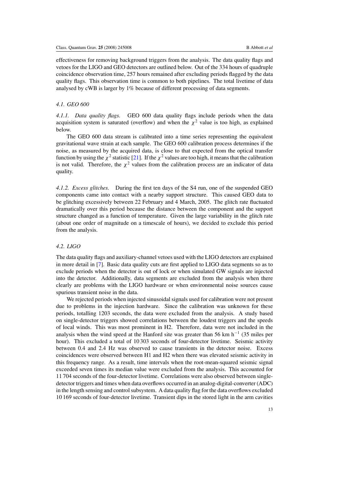effectiveness for removing background triggers from the analysis. The data quality flags and vetoes for the LIGO and GEO detectors are outlined below. Out of the 334 hours of quadruple coincidence observation time, 257 hours remained after excluding periods flagged by the data quality flags. This observation time is common to both pipelines. The total livetime of data analysed by cWB is larger by 1% because of different processing of data segments.

#### *4.1. GEO 600*

*4.1.1. Data quality flags.* GEO 600 data quality flags include periods when the data acquisition system is saturated (overflow) and when the  $\chi^2$  value is too high, as explained below.

The GEO 600 data stream is calibrated into a time series representing the equivalent gravitational wave strain at each sample. The GEO 600 calibration process determines if the noise, as measured by the acquired data, is close to that expected from the optical transfer function by using the  $\chi^2$  statistic [\[21\]](#page-23-0). If the  $\chi^2$  values are too high, it means that the calibration is not valid. Therefore, the  $\chi^2$  values from the calibration process are an indicator of data quality.

*4.1.2. Excess glitches.* During the first ten days of the S4 run, one of the suspended GEO components came into contact with a nearby support structure. This caused GEO data to be glitching excessively between 22 February and 4 March, 2005. The glitch rate fluctuated dramatically over this period because the distance between the component and the support structure changed as a function of temperature. Given the large variability in the glitch rate (about one order of magnitude on a timescale of hours), we decided to exclude this period from the analysis.

## *4.2. LIGO*

The data quality flags and auxiliary-channel vetoes used with the LIGO detectors are explained in more detail in [\[7\]](#page-23-0). Basic data quality cuts are first applied to LIGO data segments so as to exclude periods when the detector is out of lock or when simulated GW signals are injected into the detector. Additionally, data segments are excluded from the analysis when there clearly are problems with the LIGO hardware or when environmental noise sources cause spurious transient noise in the data.

We rejected periods when injected sinusoidal signals used for calibration were not present due to problems in the injection hardware. Since the calibration was unknown for these periods, totalling 1203 seconds, the data were excluded from the analysis. A study based on single-detector triggers showed correlations between the loudest triggers and the speeds of local winds. This was most prominent in H2. Therefore, data were not included in the analysis when the wind speed at the Hanford site was greater than 56 km h−<sup>1</sup> (35 miles per hour). This excluded a total of 10 303 seconds of four-detector livetime. Seismic activity between 0.4 and 2.4 Hz was observed to cause transients in the detector noise. Excess coincidences were observed between H1 and H2 when there was elevated seismic activity in this frequency range. As a result, time intervals when the root-mean-squared seismic signal exceeded seven times its median value were excluded from the analysis. This accounted for 11 704 seconds of the four-detector livetime. Correlations were also observed between singledetector triggers and times when data overflows occurred in an analog-digital-converter (ADC) in the length sensing and control subsystem. A data quality flag for the data overflows excluded 10 169 seconds of four-detector livetime. Transient dips in the stored light in the arm cavities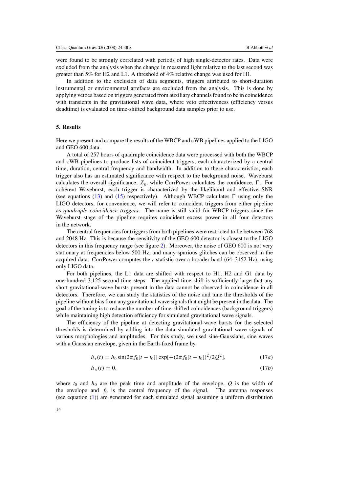were found to be strongly correlated with periods of high single-detector rates. Data were excluded from the analysis when the change in measured light relative to the last second was greater than 5% for H2 and L1. A threshold of 4% relative change was used for H1.

In addition to the exclusion of data segments, triggers attributed to short-duration instrumental or environmental artefacts are excluded from the analysis. This is done by applying vetoes based on triggers generated from auxiliary channels found to be in coincidence with transients in the gravitational wave data, where veto effectiveness (efficiency versus deadtime) is evaluated on time-shifted background data samples prior to use.

#### **5. Results**

Here we present and compare the results of the WBCP and cWB pipelines applied to the LIGO and GEO 600 data.

A total of 257 hours of quadruple coincidence data were processed with both the WBCP and cWB pipelines to produce lists of coincident triggers, each characterized by a central time, duration, central frequency and bandwidth. In addition to these characteristics, each trigger also has an estimated significance with respect to the background noise. Waveburst calculates the overall significance,  $Z_g$ , while CorrPower calculates the confidence,  $\Gamma$ . For coherent Waveburst, each trigger is characterized by the likelihood and effective SNR (see equations [\(13\)](#page-14-0) and [\(15\)](#page-14-0) respectively). Although WBCP calculates  $\Gamma$  using only the LIGO detectors, for convenience, we will refer to coincident triggers from either pipeline as *quadruple coincidence triggers*. The name is still valid for WBCP triggers since the Waveburst stage of the pipeline requires coincident excess power in all four detectors in the network.

The central frequencies for triggers from both pipelines were restricted to lie between 768 and 2048 Hz. This is because the sensitivity of the GEO 600 detector is closest to the LIGO detectors in this frequency range (see figure [2\)](#page-9-0). Moreover, the noise of GEO 600 is not very stationary at frequencies below 500 Hz, and many spurious glitches can be observed in the acquired data. CorrPower computes the *r* statistic over a broader band (64–3152 Hz), using only LIGO data.

For both pipelines, the L1 data are shifted with respect to H1, H2 and G1 data by one hundred 3.125-second time steps. The applied time shift is sufficiently large that any short gravitational-wave bursts present in the data cannot be observed in coincidence in all detectors. Therefore, we can study the statistics of the noise and tune the thresholds of the pipeline without bias from any gravitational wave signals that might be present in the data. The goal of the tuning is to reduce the number of time-shifted coincidences (background triggers) while maintaining high detection efficiency for simulated gravitational wave signals.

The efficiency of the pipeline at detecting gravitational-wave bursts for the selected thresholds is determined by adding into the data simulated gravitational wave signals of various morphologies and amplitudes. For this study, we used sine-Gaussians, sine waves with a Gaussian envelope, given in the Earth-fixed frame by

$$
h_{+}(t) = h_{0} \sin(2\pi f_{0}[t - t_{0}]) \exp[-(2\pi f_{0}[t - t_{0}])^{2}/2Q^{2}], \qquad (17a)
$$

$$
h_{\times}(t) = 0,\tag{17b}
$$

where  $t_0$  and  $h_0$  are the peak time and amplitude of the envelope,  $Q$  is the width of the envelope and  $f_0$  is the central frequency of the signal. The antenna responses (see equation [\(1\)](#page-10-0)) are generated for each simulated signal assuming a uniform distribution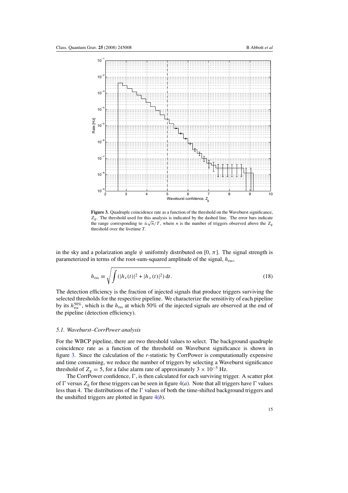

**Figure 3.** Quadruple coincidence rate as a function of the threshold on the Waveburst significance, *Z*g. The threshold used for this analysis is indicated by the dashed line. The error bars indicate the range corresponding to  $\pm \sqrt{n}/T$ , where *n* is the number of triggers observed above the  $Z_{\varphi}$ threshold over the livetime *T*.

in the sky and a polarization angle  $\psi$  uniformly distributed on [0,  $\pi$ ]. The signal strength is parameterized in terms of the root-sum-squared amplitude of the signal, *h*rss,

$$
h_{\rm rss} \equiv \sqrt{\int (|h_{+}(t)|^2 + |h_{\times}(t)|^2) \, \mathrm{d}t}.\tag{18}
$$

The detection efficiency is the fraction of injected signals that produce triggers surviving the selected thresholds for the respective pipeline. We characterize the sensitivity of each pipeline by its  $h_{\text{rss}}^{50\%}$ , which is the  $h_{\text{rss}}$  at which 50% of the injected signals are observed at the end of the pipeline (detection efficiency).

#### *5.1. Waveburst–CorrPower analysis*

For the WBCP pipeline, there are two threshold values to select. The background quadruple coincidence rate as a function of the threshold on Waveburst significance is shown in figure 3. Since the calculation of the *r*-statistic by CorrPower is computationally expensive and time consuming, we reduce the number of triggers by selecting a Waveburst significance threshold of  $Z_g = 5$ , for a false alarm rate of approximately 3 × 10<sup>-5</sup> Hz.

The CorrPower confidence,  $\Gamma$ , is then calculated for each surviving trigger. A scatter plot of  $\Gamma$  versus  $Z_g$  for these triggers can be seen in figure  $4(a)$  $4(a)$ . Note that all triggers have  $\Gamma$  values less than 4. The distributions of the  $\Gamma$  values of both the time-shifted background triggers and the unshifted triggers are plotted in figure [4\(](#page-18-0)*b*).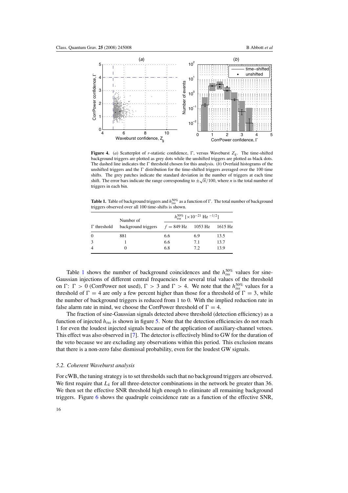<span id="page-18-0"></span>

**Figure 4.** (*a*) Scatterplot of *r*-statistic confidence,  $\Gamma$ , versus Waveburst  $Z_g$ . The time-shifted background triggers are plotted as grey dots while the unshifted triggers are plotted as black dots. The dashed line indicates the  $\Gamma$  threshold chosen for this analysis. (*b*) Overlaid histograms of the unshifted triggers and the  $\Gamma$  distribution for the time-shifted triggers averaged over the 100 time shifts. The grey patches indicate the standard deviation in the number of triggers at each time shift. The error bars indicate the range corresponding to  $\pm \sqrt{n}/100$ , where *n* is the total number of triggers in each bin.

**Table 1.** Table of background triggers and  $h_{\rm rss}^{50\%}$  as a function of  $\Gamma$ . The total number of background triggers observed over all 100 time-shifts is shown.

| $\Gamma$ threshold | Number of<br>background triggers $f = 849$ Hz 1053 Hz 1615 Hz | $h_{\rm res}^{50\%}$ [×10 <sup>-21</sup> Hz <sup>-1/2</sup> ] |     |      |
|--------------------|---------------------------------------------------------------|---------------------------------------------------------------|-----|------|
|                    |                                                               |                                                               |     |      |
| $\overline{0}$     | 881                                                           | 6.6                                                           | 6.9 | 13.5 |
| 3                  |                                                               | 6.6                                                           | 7.1 | 13.7 |
| $\overline{4}$     | 0                                                             | 6.8                                                           | 7.2 | 13.9 |

Table 1 shows the number of background coincidences and the  $h_{\text{rss}}^{50\%}$  values for sine-Gaussian injections of different central frequencies for several trial values of the threshold on  $\Gamma: \Gamma > 0$  (CorrPower not used),  $\Gamma > 3$  and  $\Gamma > 4$ . We note that the  $h_{\text{rss}}^{50\%}$  values for a threshold of  $\Gamma = 4$  are only a few percent higher than those for a threshold of  $\Gamma = 3$ , while the number of background triggers is reduced from 1 to 0. With the implied reduction rate in false alarm rate in mind, we choose the CorrPower threshold of  $\Gamma = 4$ .

The fraction of sine-Gaussian signals detected above threshold (detection efficiency) as a function of injected  $h_{\text{rss}}$  is shown in figure [5.](#page-19-0) Note that the detection efficiencies do not reach 1 for even the loudest injected signals because of the application of auxiliary-channel vetoes. This effect was also observed in [\[7](#page-23-0)]. The detector is effectively blind to GW for the duration of the veto because we are excluding any observations within this period. This exclusion means that there is a non-zero false dismissal probability, even for the loudest GW signals.

#### *5.2. Coherent Waveburst analysis*

For cWB, the tuning strategy is to set thresholds such that no background triggers are observed. We first require that  $L_k$  for all three-detector combinations in the network be greater than 36. We then set the effective SNR threshold high enough to eliminate all remaining background triggers. Figure [6](#page-20-0) shows the quadruple coincidence rate as a function of the effective SNR,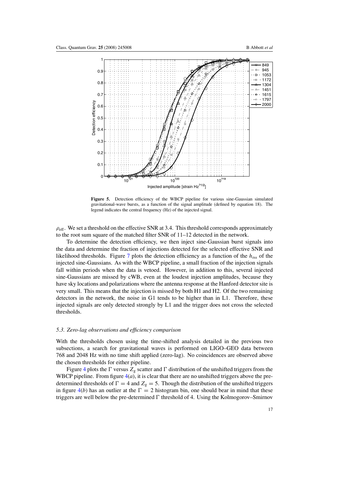<span id="page-19-0"></span>

**Figure 5.** Detection efficiency of the WBCP pipeline for various sine-Gaussian simulated gravitational-wave bursts, as a function of the signal amplitude (defined by equation 18). The legend indicates the central frequency (Hz) of the injected signal.

 $\rho_{\text{eff}}$ . We set a threshold on the effective SNR at 3.4. This threshold corresponds approximately to the root sum square of the matched filter SNR of 11–12 detected in the network.

To determine the detection efficiency, we then inject sine-Gaussian burst signals into the data and determine the fraction of injections detected for the selected effective SNR and likelihood thresholds. Figure [7](#page-21-0) plots the detection efficiency as a function of the  $h_{rs}$  of the injected sine-Gaussians. As with the WBCP pipeline, a small fraction of the injection signals fall within periods when the data is vetoed. However, in addition to this, several injected sine-Gaussians are missed by cWB, even at the loudest injection amplitudes, because they have sky locations and polarizations where the antenna response at the Hanford detector site is very small. This means that the injection is missed by both H1 and H2. Of the two remaining detectors in the network, the noise in G1 tends to be higher than in L1. Therefore, these injected signals are only detected strongly by L1 and the trigger does not cross the selected thresholds.

#### *5.3. Zero-lag observations and efficiency comparison*

With the thresholds chosen using the time-shifted analysis detailed in the previous two subsections, a search for gravitational waves is performed on LIGO–GEO data between 768 and 2048 Hz with no time shift applied (zero-lag). No coincidences are observed above the chosen thresholds for either pipeline.

Figure [4](#page-18-0) plots the  $\Gamma$  versus  $Z_g$  scatter and  $\Gamma$  distribution of the unshifted triggers from the WBCP pipeline. From figure  $4(a)$  $4(a)$ , it is clear that there are no unshifted triggers above the predetermined thresholds of  $\Gamma = 4$  and  $Z_g = 5$ . Though the distribution of the unshifted triggers in figure  $4(b)$  $4(b)$  has an outlier at the  $\Gamma = 2$  histogram bin, one should bear in mind that these triggers are well below the pre-determined  $\Gamma$  threshold of 4. Using the Kolmogorov–Smirnov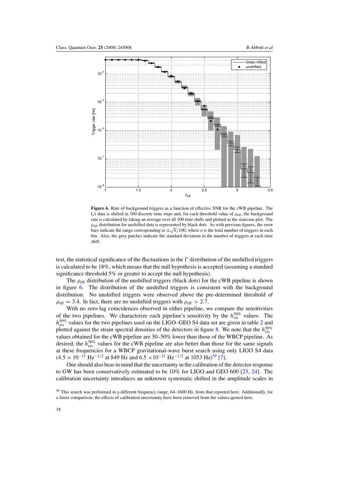<span id="page-20-0"></span>

**Figure 6.** Rate of background triggers as a function of effective SNR for the cWB pipeline. The L1 data is shifted in 100 discrete time steps and, for each threshold value of  $\rho_{\text{eff}}$ , the background rate is calculated by taking an average over all 100 time shifts and plotted as the staircase plot. The *ρ*eff distribution for unshifted data is represented by black dots. As with previous figures, the error bars indicate the range corresponding to  $\pm \sqrt{n}/100$ , where *n* is the total number of triggers in each bin. Also, the grey patches indicate the standard deviation in the number of triggers at each time shift.

test, the statistical significance of the fluctuations in the  $\Gamma$  distribution of the unshifted triggers is calculated to be 18%, which means that the null hypothesis is accepted (assuming a standard significance threshold 5% or greater to accept the null hypothesis).

The  $\rho_{\text{eff}}$  distribution of the unshifted triggers (black dots) for the cWB pipeline is shown in figure 6. The distribution of the unshifted triggers is consistent with the background distribution. No unshifted triggers were observed above the pre-determined threshold of  $\rho_{\text{eff}} = 3.4$ . In fact, there are no unshifted triggers with  $\rho_{\text{eff}} > 2.7$ .

With no zero-lag coincidences observed in either pipeline, we compare the sensitivities of the two pipelines. We characterize each pipeline's sensitivity by the  $h_{\text{rss}}^{50\%}$  values. The  $h_{\text{rss}}^{50\%}$  values for the two pipelines used on the LIGO–GEO S4 data set are given in table [2](#page-21-0) and plotted against the strain spectral densities of the detectors in figure [8.](#page-22-0) We note that the  $h_{\text{rss}}^{50\%}$ values obtained for the cWB pipeline are 30–50% lower than those of the WBCP pipeline. As desired, the  $h_{\text{rss}}^{50\%}$  values for the cWB pipeline are also better than those for the same signals at these frequencies for a WBCP gravitational-wave burst search using only LIGO S4 data  $(4.5 \times 10^{-21} \text{ Hz}^{-1/2} \text{ at } 849 \text{ Hz and } 6.5 \times 10^{-21} \text{ Hz}^{-1/2} \text{ at } 1053 \text{ Hz})^{59}$  [\[7\]](#page-23-0).

One should also bear in mind that the uncertainty in the calibration of the detector response to GW has been conservatively estimated to be 10% for LIGO and GEO 600 [\[23](#page-23-0), [24](#page-23-0)]. The calibration uncertainty introduces an unknown systematic shifted in the amplitude scales in

<sup>59</sup> This search was performed in a different frequency range, 64–1600 Hz, from that reported here. Additionally, for a fairer comparison, the effects of calibration uncertainty have been removed from the values quoted here.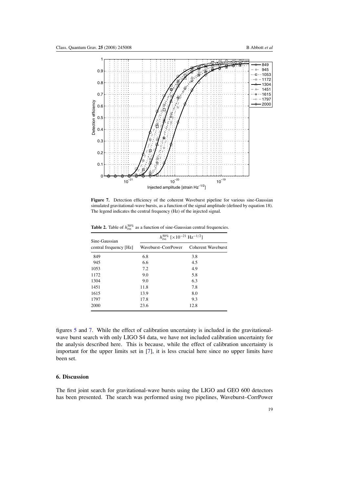<span id="page-21-0"></span>

Figure 7. Detection efficiency of the coherent Waveburst pipeline for various sine-Gaussian simulated gravitational-wave bursts, as a function of the signal amplitude (defined by equation 18). The legend indicates the central frequency (Hz) of the injected signal.

**Table 2.** Table of  $h_{\text{rss}}^{50\%}$  as a function of sine-Gaussian central frequencies.

| Sine-Gaussian          | $h_{\rm rss}^{50\%}$ [×10 <sup>-21</sup> Hz <sup>-1/2</sup> ] |                    |  |
|------------------------|---------------------------------------------------------------|--------------------|--|
| central frequency [Hz] | Waveburst-CorrPower                                           | Coherent Waveburst |  |
| 849                    | 6.8                                                           | 3.8                |  |
| 945                    | 6.6                                                           | 4.5                |  |
| 1053                   | 7.2                                                           | 4.9                |  |
| 1172                   | 9.0                                                           | 5.8                |  |
| 1304                   | 9.0                                                           | 6.3                |  |
| 1451                   | 11.8                                                          | 7.8                |  |
| 1615                   | 13.9                                                          | 8.0                |  |
| 1797                   | 17.8                                                          | 9.3                |  |
| 2000                   | 23.6                                                          | 12.8               |  |

figures [5](#page-19-0) and 7. While the effect of calibration uncertainty is included in the gravitationalwave burst search with only LIGO S4 data, we have not included calibration uncertainty for the analysis described here. This is because, while the effect of calibration uncertainty is important for the upper limits set in [\[7](#page-23-0)], it is less crucial here since no upper limits have been set.

### **6. Discussion**

The first joint search for gravitational-wave bursts using the LIGO and GEO 600 detectors has been presented. The search was performed using two pipelines, Waveburst–CorrPower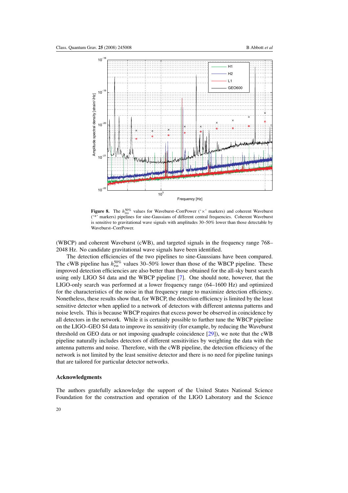<span id="page-22-0"></span>

**Figure 8.** The  $h_{\text{rss}}^{50\%}$  values for Waveburst–CorrPower (' $\times$ ' markers) and coherent Waveburst ('\*' markers) pipelines for sine-Gaussians of different central frequencies. Coherent Waveburst is sensitive to gravitational wave signals with amplitudes 30–50% lower than those detectable by Waveburst–CorrPower.

(WBCP) and coherent Waveburst (cWB), and targeted signals in the frequency range 768– 2048 Hz. No candidate gravitational wave signals have been identified.

The detection efficiencies of the two pipelines to sine-Gaussians have been compared. The cWB pipeline has  $h_{\text{rss}}^{50\%}$  values 30–50% lower than those of the WBCP pipeline. These improved detection efficiencies are also better than those obtained for the all-sky burst search using only LIGO S4 data and the WBCP pipeline [\[7\]](#page-23-0). One should note, however, that the LIGO-only search was performed at a lower frequency range (64–1600 Hz) and optimized for the characteristics of the noise in that frequency range to maximize detection efficiency. Nonetheless, these results show that, for WBCP, the detection efficiency is limited by the least sensitive detector when applied to a network of detectors with different antenna patterns and noise levels. This is because WBCP requires that excess power be observed in coincidence by all detectors in the network. While it is certainly possible to further tune the WBCP pipeline on the LIGO–GEO S4 data to improve its sensitivity (for example, by reducing the Waveburst threshold on GEO data or not imposing quadruple coincidence [\[29\]](#page-23-0)), we note that the cWB pipeline naturally includes detectors of different sensitivities by weighting the data with the antenna patterns and noise. Therefore, with the cWB pipeline, the detection efficiency of the network is not limited by the least sensitive detector and there is no need for pipeline tunings that are tailored for particular detector networks.

#### **Acknowledgments**

The authors gratefully acknowledge the support of the United States National Science Foundation for the construction and operation of the LIGO Laboratory and the Science